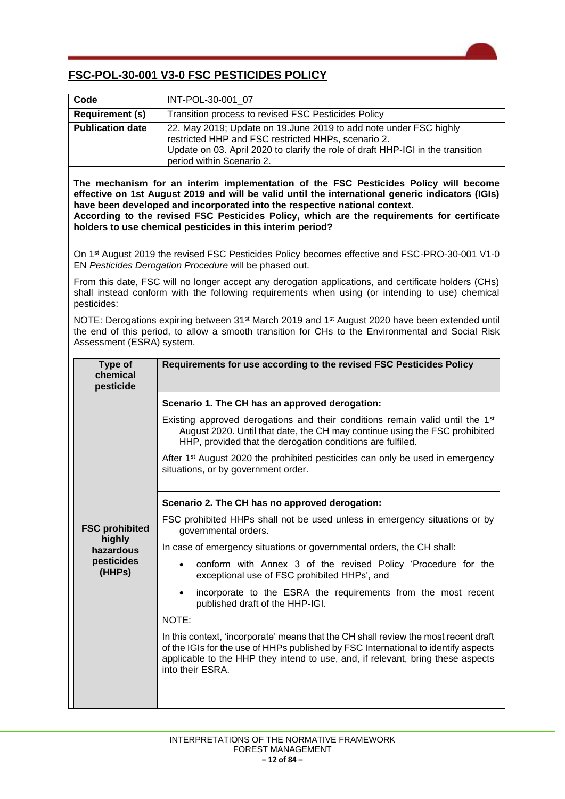## **FSC-POL-30-001 V3-0 FSC PESTICIDES POLICY**

| Code                                                                                                                                                                                                                                                                                                                                                                                                                               | INT-POL-30-001_07                                                                                                                                                                                                                                                                |  |
|------------------------------------------------------------------------------------------------------------------------------------------------------------------------------------------------------------------------------------------------------------------------------------------------------------------------------------------------------------------------------------------------------------------------------------|----------------------------------------------------------------------------------------------------------------------------------------------------------------------------------------------------------------------------------------------------------------------------------|--|
| <b>Requirement (s)</b>                                                                                                                                                                                                                                                                                                                                                                                                             | Transition process to revised FSC Pesticides Policy                                                                                                                                                                                                                              |  |
| <b>Publication date</b>                                                                                                                                                                                                                                                                                                                                                                                                            | 22. May 2019; Update on 19. June 2019 to add note under FSC highly<br>restricted HHP and FSC restricted HHPs, scenario 2.<br>Update on 03. April 2020 to clarify the role of draft HHP-IGI in the transition<br>period within Scenario 2.                                        |  |
| The mechanism for an interim implementation of the FSC Pesticides Policy will become<br>effective on 1st August 2019 and will be valid until the international generic indicators (IGIs)<br>have been developed and incorporated into the respective national context.<br>According to the revised FSC Pesticides Policy, which are the requirements for certificate<br>holders to use chemical pesticides in this interim period? |                                                                                                                                                                                                                                                                                  |  |
| On 1 <sup>st</sup> August 2019 the revised FSC Pesticides Policy becomes effective and FSC-PRO-30-001 V1-0<br>EN Pesticides Derogation Procedure will be phased out.                                                                                                                                                                                                                                                               |                                                                                                                                                                                                                                                                                  |  |
| From this date, FSC will no longer accept any derogation applications, and certificate holders (CHs)<br>shall instead conform with the following requirements when using (or intending to use) chemical<br>pesticides:                                                                                                                                                                                                             |                                                                                                                                                                                                                                                                                  |  |
| NOTE: Derogations expiring between 31 <sup>st</sup> March 2019 and 1 <sup>st</sup> August 2020 have been extended until<br>the end of this period, to allow a smooth transition for CHs to the Environmental and Social Risk<br>Assessment (ESRA) system.                                                                                                                                                                          |                                                                                                                                                                                                                                                                                  |  |
| Type of<br>chemical<br>pesticide                                                                                                                                                                                                                                                                                                                                                                                                   | Requirements for use according to the revised FSC Pesticides Policy                                                                                                                                                                                                              |  |
| <b>FSC prohibited</b><br>highly<br>hazardous<br>pesticides<br>(HHPs)                                                                                                                                                                                                                                                                                                                                                               | Scenario 1. The CH has an approved derogation:                                                                                                                                                                                                                                   |  |
|                                                                                                                                                                                                                                                                                                                                                                                                                                    | Existing approved derogations and their conditions remain valid until the 1 <sup>st</sup><br>August 2020. Until that date, the CH may continue using the FSC prohibited<br>HHP, provided that the derogation conditions are fulfiled.                                            |  |
|                                                                                                                                                                                                                                                                                                                                                                                                                                    | After 1 <sup>st</sup> August 2020 the prohibited pesticides can only be used in emergency<br>situations, or by government order.                                                                                                                                                 |  |
|                                                                                                                                                                                                                                                                                                                                                                                                                                    | Scenario 2. The CH has no approved derogation:                                                                                                                                                                                                                                   |  |
|                                                                                                                                                                                                                                                                                                                                                                                                                                    | FSC prohibited HHPs shall not be used unless in emergency situations or by<br>governmental orders.                                                                                                                                                                               |  |
|                                                                                                                                                                                                                                                                                                                                                                                                                                    | In case of emergency situations or governmental orders, the CH shall:                                                                                                                                                                                                            |  |
|                                                                                                                                                                                                                                                                                                                                                                                                                                    | conform with Annex 3 of the revised Policy 'Procedure for the<br>exceptional use of FSC prohibited HHPs', and                                                                                                                                                                    |  |
|                                                                                                                                                                                                                                                                                                                                                                                                                                    | incorporate to the ESRA the requirements from the most recent<br>$\bullet$<br>published draft of the HHP-IGI.                                                                                                                                                                    |  |
|                                                                                                                                                                                                                                                                                                                                                                                                                                    | NOTE:                                                                                                                                                                                                                                                                            |  |
|                                                                                                                                                                                                                                                                                                                                                                                                                                    | In this context, 'incorporate' means that the CH shall review the most recent draft<br>of the IGIs for the use of HHPs published by FSC International to identify aspects<br>applicable to the HHP they intend to use, and, if relevant, bring these aspects<br>into their ESRA. |  |
|                                                                                                                                                                                                                                                                                                                                                                                                                                    |                                                                                                                                                                                                                                                                                  |  |